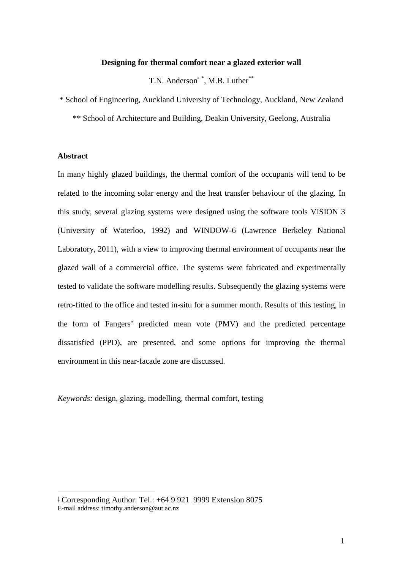## **Designing for thermal comfort near a glazed exterior wall**

T.N. Anderson<sup> $\dagger$ </sup>, M.B. Luther<sup>[\\*](#page-0-0)\*</sup>

\* School of Engineering, Auckland University of Technology, Auckland, New Zealand

\*\* School of Architecture and Building, Deakin University, Geelong, Australia

### **Abstract**

<u>.</u>

In many highly glazed buildings, the thermal comfort of the occupants will tend to be related to the incoming solar energy and the heat transfer behaviour of the glazing. In this study, several glazing systems were designed using the software tools VISION 3 (University of Waterloo, 1992) and WINDOW-6 (Lawrence Berkeley National Laboratory, 2011), with a view to improving thermal environment of occupants near the glazed wall of a commercial office. The systems were fabricated and experimentally tested to validate the software modelling results. Subsequently the glazing systems were retro-fitted to the office and tested in-situ for a summer month. Results of this testing, in the form of Fangers' predicted mean vote (PMV) and the predicted percentage dissatisfied (PPD), are presented, and some options for improving the thermal environment in this near-facade zone are discussed.

*Keywords:* design, glazing, modelling, thermal comfort, testing

<span id="page-0-0"></span>ǂ Corresponding Author: Tel.: +64 9 921 9999 Extension 8075 E-mail address: timothy.anderson@aut.ac.nz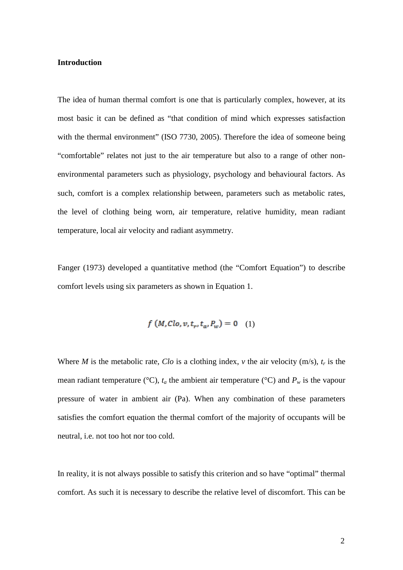### **Introduction**

The idea of human thermal comfort is one that is particularly complex, however, at its most basic it can be defined as "that condition of mind which expresses satisfaction with the thermal environment" (ISO 7730, 2005). Therefore the idea of someone being "comfortable" relates not just to the air temperature but also to a range of other nonenvironmental parameters such as physiology, psychology and behavioural factors. As such, comfort is a complex relationship between, parameters such as metabolic rates, the level of clothing being worn, air temperature, relative humidity, mean radiant temperature, local air velocity and radiant asymmetry.

Fanger (1973) developed a quantitative method (the "Comfort Equation") to describe comfort levels using six parameters as shown in Equation 1.

$$
f(M, Clo, v, t_r, t_a, P_w) = 0 \quad (1)
$$

Where *M* is the metabolic rate, *Clo* is a clothing index, *v* the air velocity (m/s),  $t_r$  is the mean radiant temperature ( $\degree$ C),  $t_a$  the ambient air temperature ( $\degree$ C) and  $P_w$  is the vapour pressure of water in ambient air (Pa). When any combination of these parameters satisfies the comfort equation the thermal comfort of the majority of occupants will be neutral, i.e. not too hot nor too cold.

In reality, it is not always possible to satisfy this criterion and so have "optimal" thermal comfort. As such it is necessary to describe the relative level of discomfort. This can be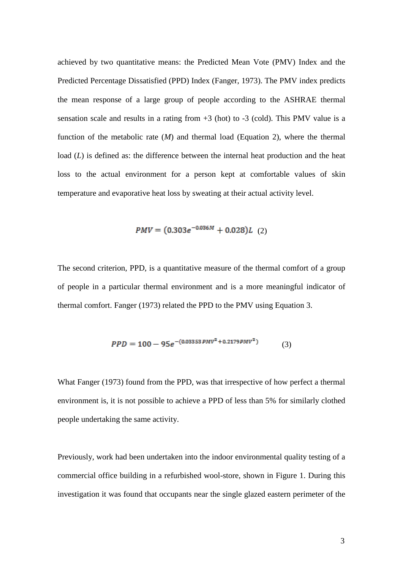achieved by two quantitative means: the Predicted Mean Vote (PMV) Index and the Predicted Percentage Dissatisfied (PPD) Index (Fanger, 1973). The PMV index predicts the mean response of a large group of people according to the ASHRAE thermal sensation scale and results in a rating from  $+3$  (hot) to  $-3$  (cold). This PMV value is a function of the metabolic rate (*M*) and thermal load (Equation 2), where the thermal load (*L*) is defined as: the difference between the internal heat production and the heat loss to the actual environment for a person kept at comfortable values of skin temperature and evaporative heat loss by sweating at their actual activity level.

$$
PMV = (0.303e^{-0.036M} + 0.028)L
$$
 (2)

The second criterion, PPD, is a quantitative measure of the thermal comfort of a group of people in a particular thermal environment and is a more meaningful indicator of thermal comfort. Fanger (1973) related the PPD to the PMV using Equation 3.

$$
PPD = 100 - 95e^{-(0.03353 \, \text{PMV}^2 + 0.2179 \, \text{PMV}^2)} \tag{3}
$$

What Fanger (1973) found from the PPD, was that irrespective of how perfect a thermal environment is, it is not possible to achieve a PPD of less than 5% for similarly clothed people undertaking the same activity.

Previously, work had been undertaken into the indoor environmental quality testing of a commercial office building in a refurbished wool-store, shown in Figure 1. During this investigation it was found that occupants near the single glazed eastern perimeter of the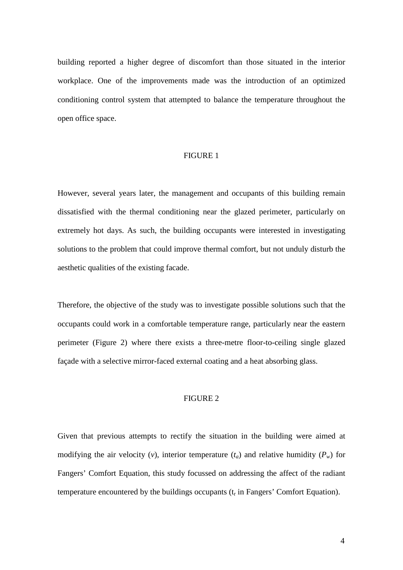building reported a higher degree of discomfort than those situated in the interior workplace. One of the improvements made was the introduction of an optimized conditioning control system that attempted to balance the temperature throughout the open office space.

### FIGURE 1

However, several years later, the management and occupants of this building remain dissatisfied with the thermal conditioning near the glazed perimeter, particularly on extremely hot days. As such, the building occupants were interested in investigating solutions to the problem that could improve thermal comfort, but not unduly disturb the aesthetic qualities of the existing facade.

Therefore, the objective of the study was to investigate possible solutions such that the occupants could work in a comfortable temperature range, particularly near the eastern perimeter (Figure 2) where there exists a three-metre floor-to-ceiling single glazed façade with a selective mirror-faced external coating and a heat absorbing glass.

## FIGURE 2

Given that previous attempts to rectify the situation in the building were aimed at modifying the air velocity (*v*), interior temperature  $(t_a)$  and relative humidity  $(P_w)$  for Fangers' Comfort Equation, this study focussed on addressing the affect of the radiant temperature encountered by the buildings occupants  $(t_r$  in Fangers' Comfort Equation).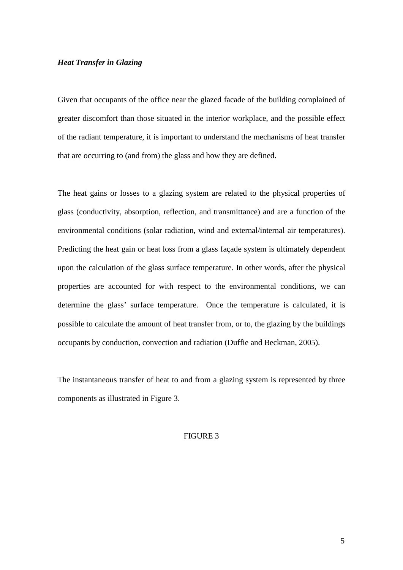### *Heat Transfer in Glazing*

Given that occupants of the office near the glazed facade of the building complained of greater discomfort than those situated in the interior workplace, and the possible effect of the radiant temperature, it is important to understand the mechanisms of heat transfer that are occurring to (and from) the glass and how they are defined.

The heat gains or losses to a glazing system are related to the physical properties of glass (conductivity, absorption, reflection, and transmittance) and are a function of the environmental conditions (solar radiation, wind and external/internal air temperatures). Predicting the heat gain or heat loss from a glass façade system is ultimately dependent upon the calculation of the glass surface temperature. In other words, after the physical properties are accounted for with respect to the environmental conditions, we can determine the glass' surface temperature. Once the temperature is calculated, it is possible to calculate the amount of heat transfer from, or to, the glazing by the buildings occupants by conduction, convection and radiation (Duffie and Beckman, 2005).

The instantaneous transfer of heat to and from a glazing system is represented by three components as illustrated in Figure 3.

## FIGURE 3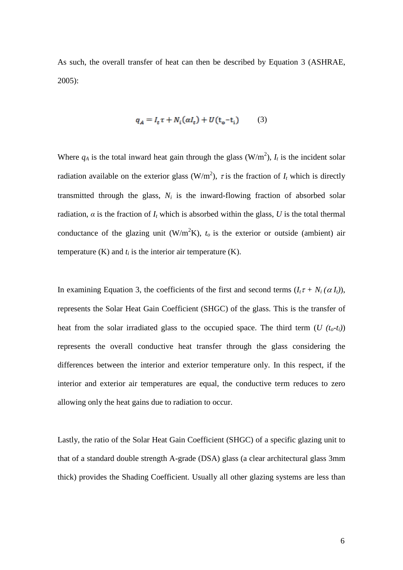As such, the overall transfer of heat can then be described by Equation 3 (ASHRAE, 2005):

$$
q_A = I_t \tau + N_i(\alpha I_t) + U(t_0 - t_i) \tag{3}
$$

Where  $q_A$  is the total inward heat gain through the glass  $(W/m^2)$ ,  $I_t$  is the incident solar radiation available on the exterior glass ( $W/m<sup>2</sup>$ ),  $\tau$  is the fraction of  $I_t$  which is directly transmitted through the glass,  $N_i$  is the inward-flowing fraction of absorbed solar radiation,  $\alpha$  is the fraction of  $I_t$  which is absorbed within the glass, U is the total thermal conductance of the glazing unit ( $W/m^2K$ ),  $t_o$  is the exterior or outside (ambient) air temperature  $(K)$  and  $t_i$  is the interior air temperature  $(K)$ .

In examining Equation 3, the coefficients of the first and second terms  $(I_t \tau + N_i(\alpha I_t))$ , represents the Solar Heat Gain Coefficient (SHGC) of the glass. This is the transfer of heat from the solar irradiated glass to the occupied space. The third term  $(U(t_0-t_i))$ represents the overall conductive heat transfer through the glass considering the differences between the interior and exterior temperature only. In this respect, if the interior and exterior air temperatures are equal, the conductive term reduces to zero allowing only the heat gains due to radiation to occur.

Lastly, the ratio of the Solar Heat Gain Coefficient (SHGC) of a specific glazing unit to that of a standard double strength A-grade (DSA) glass (a clear architectural glass 3mm thick) provides the Shading Coefficient. Usually all other glazing systems are less than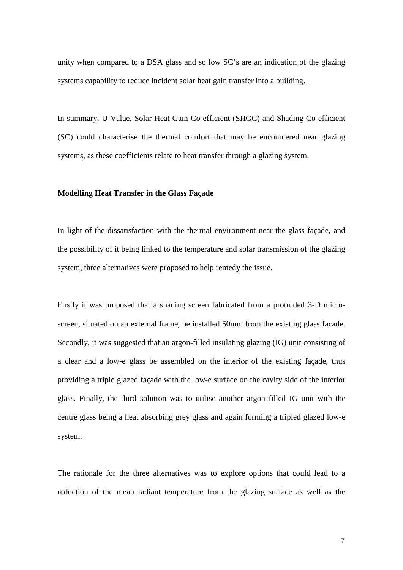unity when compared to a DSA glass and so low SC's are an indication of the glazing systems capability to reduce incident solar heat gain transfer into a building.

In summary, U-Value, Solar Heat Gain Co-efficient (SHGC) and Shading Co-efficient (SC) could characterise the thermal comfort that may be encountered near glazing systems, as these coefficients relate to heat transfer through a glazing system.

## **Modelling Heat Transfer in the Glass Façade**

In light of the dissatisfaction with the thermal environment near the glass façade, and the possibility of it being linked to the temperature and solar transmission of the glazing system, three alternatives were proposed to help remedy the issue.

Firstly it was proposed that a shading screen fabricated from a protruded 3-D microscreen, situated on an external frame, be installed 50mm from the existing glass facade. Secondly, it was suggested that an argon-filled insulating glazing (IG) unit consisting of a clear and a low-e glass be assembled on the interior of the existing façade, thus providing a triple glazed façade with the low-e surface on the cavity side of the interior glass. Finally, the third solution was to utilise another argon filled IG unit with the centre glass being a heat absorbing grey glass and again forming a tripled glazed low-e system.

The rationale for the three alternatives was to explore options that could lead to a reduction of the mean radiant temperature from the glazing surface as well as the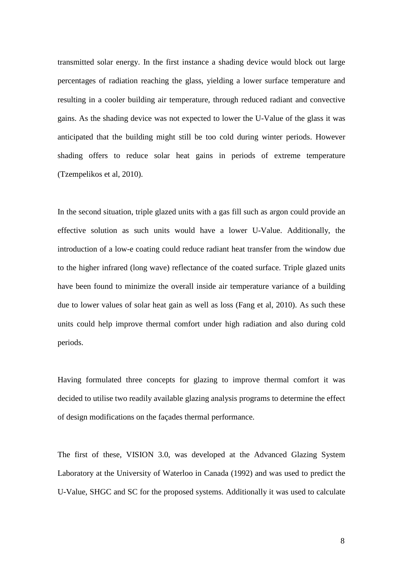transmitted solar energy. In the first instance a shading device would block out large percentages of radiation reaching the glass, yielding a lower surface temperature and resulting in a cooler building air temperature, through reduced radiant and convective gains. As the shading device was not expected to lower the U-Value of the glass it was anticipated that the building might still be too cold during winter periods. However shading offers to reduce solar heat gains in periods of extreme temperature (Tzempelikos et al, 2010).

In the second situation, triple glazed units with a gas fill such as argon could provide an effective solution as such units would have a lower U-Value. Additionally, the introduction of a low-e coating could reduce radiant heat transfer from the window due to the higher infrared (long wave) reflectance of the coated surface. Triple glazed units have been found to minimize the overall inside air temperature variance of a building due to lower values of solar heat gain as well as loss (Fang et al, 2010). As such these units could help improve thermal comfort under high radiation and also during cold periods.

Having formulated three concepts for glazing to improve thermal comfort it was decided to utilise two readily available glazing analysis programs to determine the effect of design modifications on the façades thermal performance.

The first of these, VISION 3.0, was developed at the Advanced Glazing System Laboratory at the University of Waterloo in Canada (1992) and was used to predict the U-Value, SHGC and SC for the proposed systems. Additionally it was used to calculate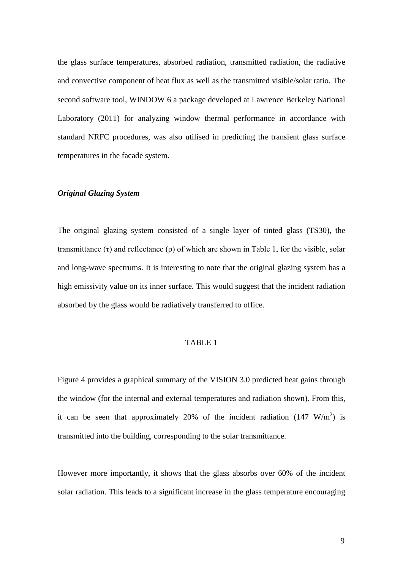the glass surface temperatures, absorbed radiation, transmitted radiation, the radiative and convective component of heat flux as well as the transmitted visible/solar ratio. The second software tool, WINDOW 6 a package developed at Lawrence Berkeley National Laboratory (2011) for analyzing window thermal performance in accordance with standard NRFC procedures, was also utilised in predicting the transient glass surface temperatures in the facade system.

## *Original Glazing System*

The original glazing system consisted of a single layer of tinted glass (TS30), the transmittance  $(\tau)$  and reflectance  $(\rho)$  of which are shown in Table 1, for the visible, solar and long-wave spectrums. It is interesting to note that the original glazing system has a high emissivity value on its inner surface. This would suggest that the incident radiation absorbed by the glass would be radiatively transferred to office.

#### TABLE 1

Figure 4 provides a graphical summary of the VISION 3.0 predicted heat gains through the window (for the internal and external temperatures and radiation shown). From this, it can be seen that approximately 20% of the incident radiation  $(147 \text{ W/m}^2)$  is transmitted into the building, corresponding to the solar transmittance.

However more importantly, it shows that the glass absorbs over 60% of the incident solar radiation. This leads to a significant increase in the glass temperature encouraging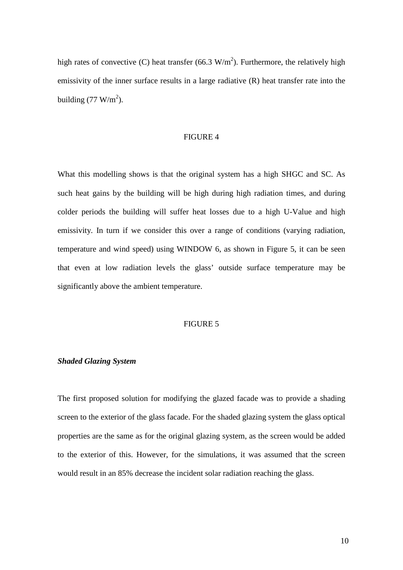high rates of convective (C) heat transfer (66.3  $W/m<sup>2</sup>$ ). Furthermore, the relatively high emissivity of the inner surface results in a large radiative (R) heat transfer rate into the building  $(77 \text{ W/m}^2)$ .

## FIGURE 4

What this modelling shows is that the original system has a high SHGC and SC. As such heat gains by the building will be high during high radiation times, and during colder periods the building will suffer heat losses due to a high U-Value and high emissivity. In turn if we consider this over a range of conditions (varying radiation, temperature and wind speed) using WINDOW 6, as shown in Figure 5, it can be seen that even at low radiation levels the glass' outside surface temperature may be significantly above the ambient temperature.

## FIGURE 5

#### *Shaded Glazing System*

The first proposed solution for modifying the glazed facade was to provide a shading screen to the exterior of the glass facade. For the shaded glazing system the glass optical properties are the same as for the original glazing system, as the screen would be added to the exterior of this. However, for the simulations, it was assumed that the screen would result in an 85% decrease the incident solar radiation reaching the glass.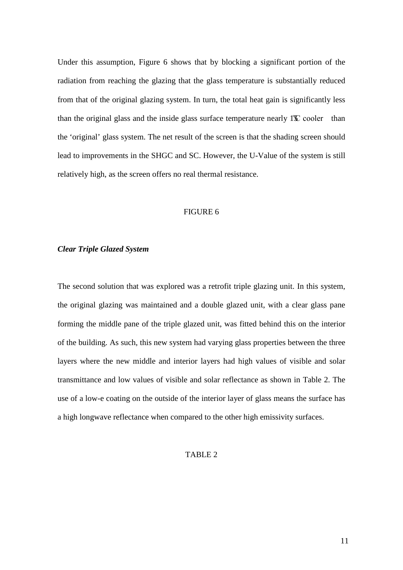Under this assumption, Figure 6 shows that by blocking a significant portion of the radiation from reaching the glazing that the glass temperature is substantially reduced from that of the original glazing system. In turn, the total heat gain is significantly less than the original glass and the inside glass surface temperature nearly  $1^{\circ}$  cooler than the 'original' glass system. The net result of the screen is that the shading screen should lead to improvements in the SHGC and SC. However, the U-Value of the system is still relatively high, as the screen offers no real thermal resistance.

## FIGURE 6

#### *Clear Triple Glazed System*

The second solution that was explored was a retrofit triple glazing unit. In this system, the original glazing was maintained and a double glazed unit, with a clear glass pane forming the middle pane of the triple glazed unit, was fitted behind this on the interior of the building. As such, this new system had varying glass properties between the three layers where the new middle and interior layers had high values of visible and solar transmittance and low values of visible and solar reflectance as shown in Table 2. The use of a low-e coating on the outside of the interior layer of glass means the surface has a high longwave reflectance when compared to the other high emissivity surfaces.

#### TABLE 2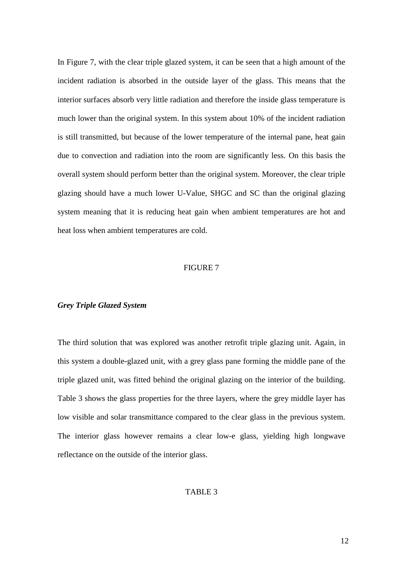In Figure 7, with the clear triple glazed system, it can be seen that a high amount of the incident radiation is absorbed in the outside layer of the glass. This means that the interior surfaces absorb very little radiation and therefore the inside glass temperature is much lower than the original system. In this system about 10% of the incident radiation is still transmitted, but because of the lower temperature of the internal pane, heat gain due to convection and radiation into the room are significantly less. On this basis the overall system should perform better than the original system. Moreover, the clear triple glazing should have a much lower U-Value, SHGC and SC than the original glazing system meaning that it is reducing heat gain when ambient temperatures are hot and heat loss when ambient temperatures are cold.

### FIGURE 7

### *Grey Triple Glazed System*

The third solution that was explored was another retrofit triple glazing unit. Again, in this system a double-glazed unit, with a grey glass pane forming the middle pane of the triple glazed unit, was fitted behind the original glazing on the interior of the building. Table 3 shows the glass properties for the three layers, where the grey middle layer has low visible and solar transmittance compared to the clear glass in the previous system. The interior glass however remains a clear low-e glass, yielding high longwave reflectance on the outside of the interior glass.

### TABLE 3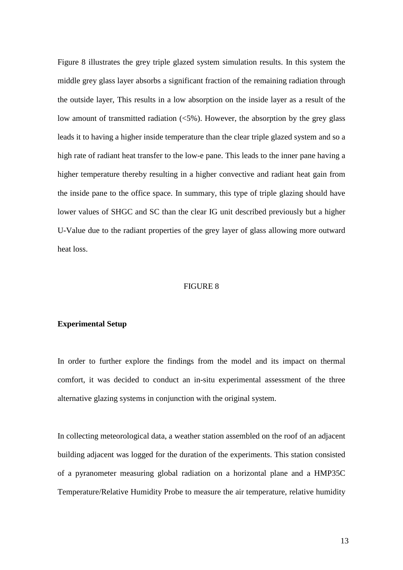Figure 8 illustrates the grey triple glazed system simulation results. In this system the middle grey glass layer absorbs a significant fraction of the remaining radiation through the outside layer, This results in a low absorption on the inside layer as a result of the low amount of transmitted radiation  $\langle 5\% \rangle$ . However, the absorption by the grey glass leads it to having a higher inside temperature than the clear triple glazed system and so a high rate of radiant heat transfer to the low-e pane. This leads to the inner pane having a higher temperature thereby resulting in a higher convective and radiant heat gain from the inside pane to the office space. In summary, this type of triple glazing should have lower values of SHGC and SC than the clear IG unit described previously but a higher U-Value due to the radiant properties of the grey layer of glass allowing more outward heat loss.

### FIGURE 8

## **Experimental Setup**

In order to further explore the findings from the model and its impact on thermal comfort, it was decided to conduct an in-situ experimental assessment of the three alternative glazing systems in conjunction with the original system.

In collecting meteorological data, a weather station assembled on the roof of an adjacent building adjacent was logged for the duration of the experiments. This station consisted of a pyranometer measuring global radiation on a horizontal plane and a HMP35C Temperature/Relative Humidity Probe to measure the air temperature, relative humidity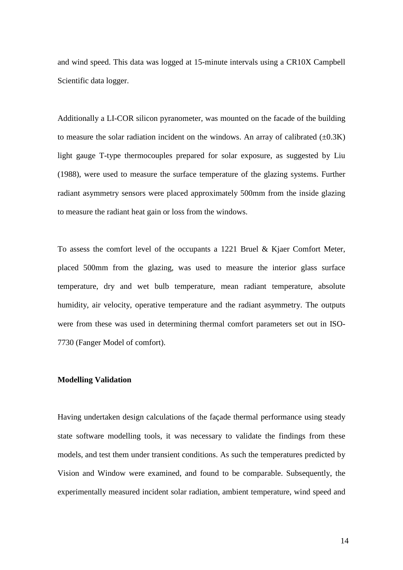and wind speed. This data was logged at 15-minute intervals using a CR10X Campbell Scientific data logger.

Additionally a LI-COR silicon pyranometer, was mounted on the facade of the building to measure the solar radiation incident on the windows. An array of calibrated  $(\pm 0.3K)$ light gauge T-type thermocouples prepared for solar exposure, as suggested by Liu (1988), were used to measure the surface temperature of the glazing systems. Further radiant asymmetry sensors were placed approximately 500mm from the inside glazing to measure the radiant heat gain or loss from the windows.

To assess the comfort level of the occupants a 1221 Bruel & Kjaer Comfort Meter, placed 500mm from the glazing, was used to measure the interior glass surface temperature, dry and wet bulb temperature, mean radiant temperature, absolute humidity, air velocity, operative temperature and the radiant asymmetry. The outputs were from these was used in determining thermal comfort parameters set out in ISO-7730 (Fanger Model of comfort).

#### **Modelling Validation**

Having undertaken design calculations of the façade thermal performance using steady state software modelling tools, it was necessary to validate the findings from these models, and test them under transient conditions. As such the temperatures predicted by Vision and Window were examined, and found to be comparable. Subsequently, the experimentally measured incident solar radiation, ambient temperature, wind speed and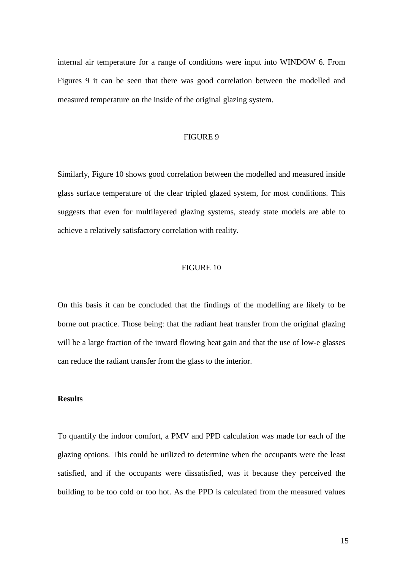internal air temperature for a range of conditions were input into WINDOW 6. From Figures 9 it can be seen that there was good correlation between the modelled and measured temperature on the inside of the original glazing system.

#### FIGURE 9

Similarly, Figure 10 shows good correlation between the modelled and measured inside glass surface temperature of the clear tripled glazed system, for most conditions. This suggests that even for multilayered glazing systems, steady state models are able to achieve a relatively satisfactory correlation with reality.

### FIGURE 10

On this basis it can be concluded that the findings of the modelling are likely to be borne out practice. Those being: that the radiant heat transfer from the original glazing will be a large fraction of the inward flowing heat gain and that the use of low-e glasses can reduce the radiant transfer from the glass to the interior.

## **Results**

To quantify the indoor comfort, a PMV and PPD calculation was made for each of the glazing options. This could be utilized to determine when the occupants were the least satisfied, and if the occupants were dissatisfied, was it because they perceived the building to be too cold or too hot. As the PPD is calculated from the measured values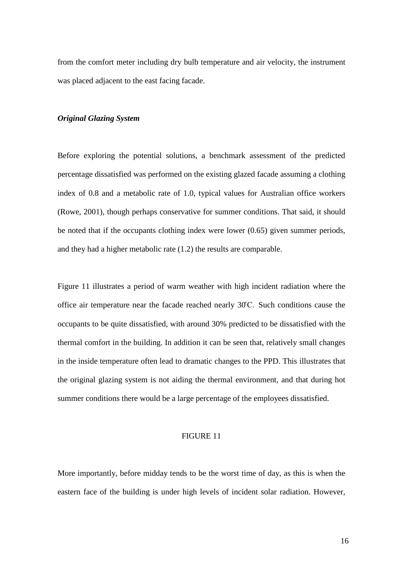from the comfort meter including dry bulb temperature and air velocity, the instrument was placed adjacent to the east facing facade.

#### *Original Glazing System*

Before exploring the potential solutions, a benchmark assessment of the predicted percentage dissatisfied was performed on the existing glazed facade assuming a clothing index of 0.8 and a metabolic rate of 1.0, typical values for Australian office workers (Rowe, 2001), though perhaps conservative for summer conditions. That said, it should be noted that if the occupants clothing index were lower (0.65) given summer periods, and they had a higher metabolic rate (1.2) the results are comparable.

Figure 11 illustrates a period of warm weather with high incident radiation where the office air temperature near the facade reached nearly 30˚C. Such conditions cause the occupants to be quite dissatisfied, with around 30% predicted to be dissatisfied with the thermal comfort in the building. In addition it can be seen that, relatively small changes in the inside temperature often lead to dramatic changes to the PPD. This illustrates that the original glazing system is not aiding the thermal environment, and that during hot summer conditions there would be a large percentage of the employees dissatisfied.

# FIGURE 11

More importantly, before midday tends to be the worst time of day, as this is when the eastern face of the building is under high levels of incident solar radiation. However,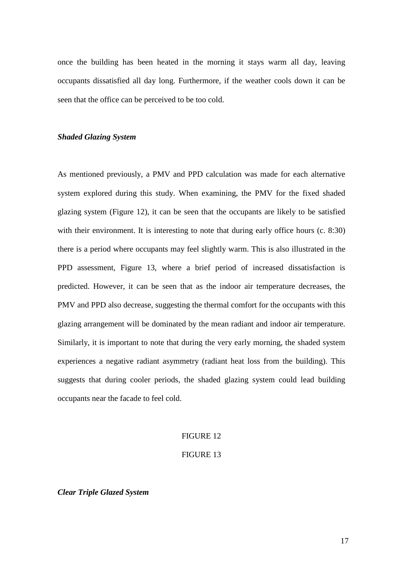once the building has been heated in the morning it stays warm all day, leaving occupants dissatisfied all day long. Furthermore, if the weather cools down it can be seen that the office can be perceived to be too cold.

## *Shaded Glazing System*

As mentioned previously, a PMV and PPD calculation was made for each alternative system explored during this study. When examining, the PMV for the fixed shaded glazing system (Figure 12), it can be seen that the occupants are likely to be satisfied with their environment. It is interesting to note that during early office hours (c. 8:30) there is a period where occupants may feel slightly warm. This is also illustrated in the PPD assessment, Figure 13, where a brief period of increased dissatisfaction is predicted. However, it can be seen that as the indoor air temperature decreases, the PMV and PPD also decrease, suggesting the thermal comfort for the occupants with this glazing arrangement will be dominated by the mean radiant and indoor air temperature. Similarly, it is important to note that during the very early morning, the shaded system experiences a negative radiant asymmetry (radiant heat loss from the building). This suggests that during cooler periods, the shaded glazing system could lead building occupants near the facade to feel cold.

## FIGURE 12

#### FIGURE 13

*Clear Triple Glazed System*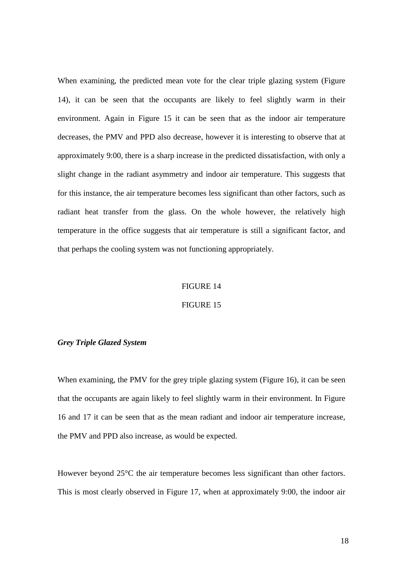When examining, the predicted mean vote for the clear triple glazing system (Figure 14), it can be seen that the occupants are likely to feel slightly warm in their environment. Again in Figure 15 it can be seen that as the indoor air temperature decreases, the PMV and PPD also decrease, however it is interesting to observe that at approximately 9:00, there is a sharp increase in the predicted dissatisfaction, with only a slight change in the radiant asymmetry and indoor air temperature. This suggests that for this instance, the air temperature becomes less significant than other factors, such as radiant heat transfer from the glass. On the whole however, the relatively high temperature in the office suggests that air temperature is still a significant factor, and that perhaps the cooling system was not functioning appropriately.

#### FIGURE 14

### FIGURE 15

#### *Grey Triple Glazed System*

When examining, the PMV for the grey triple glazing system (Figure 16), it can be seen that the occupants are again likely to feel slightly warm in their environment. In Figure 16 and 17 it can be seen that as the mean radiant and indoor air temperature increase, the PMV and PPD also increase, as would be expected.

However beyond 25°C the air temperature becomes less significant than other factors. This is most clearly observed in Figure 17, when at approximately 9:00, the indoor air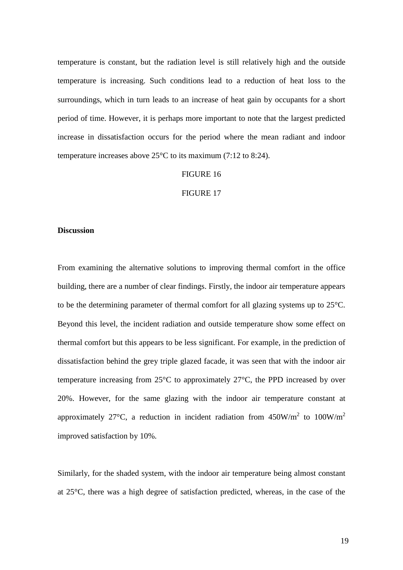temperature is constant, but the radiation level is still relatively high and the outside temperature is increasing. Such conditions lead to a reduction of heat loss to the surroundings, which in turn leads to an increase of heat gain by occupants for a short period of time. However, it is perhaps more important to note that the largest predicted increase in dissatisfaction occurs for the period where the mean radiant and indoor temperature increases above 25°C to its maximum (7:12 to 8:24).

## FIGURE 16

#### FIGURE 17

## **Discussion**

From examining the alternative solutions to improving thermal comfort in the office building, there are a number of clear findings. Firstly, the indoor air temperature appears to be the determining parameter of thermal comfort for all glazing systems up to 25°C. Beyond this level, the incident radiation and outside temperature show some effect on thermal comfort but this appears to be less significant. For example, in the prediction of dissatisfaction behind the grey triple glazed facade, it was seen that with the indoor air temperature increasing from 25°C to approximately 27°C, the PPD increased by over 20%. However, for the same glazing with the indoor air temperature constant at approximately 27°C, a reduction in incident radiation from  $450W/m^2$  to  $100W/m^2$ improved satisfaction by 10%.

Similarly, for the shaded system, with the indoor air temperature being almost constant at 25°C, there was a high degree of satisfaction predicted, whereas, in the case of the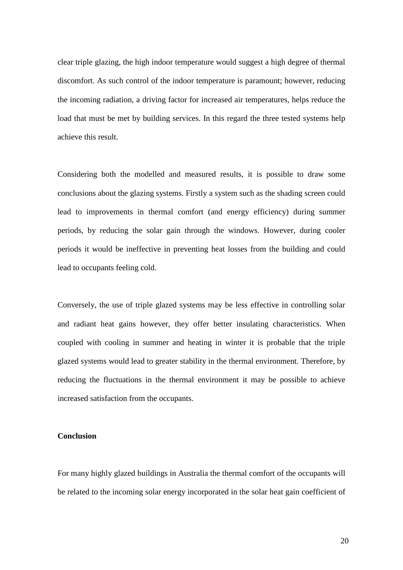clear triple glazing, the high indoor temperature would suggest a high degree of thermal discomfort. As such control of the indoor temperature is paramount; however, reducing the incoming radiation, a driving factor for increased air temperatures, helps reduce the load that must be met by building services. In this regard the three tested systems help achieve this result.

Considering both the modelled and measured results, it is possible to draw some conclusions about the glazing systems. Firstly a system such as the shading screen could lead to improvements in thermal comfort (and energy efficiency) during summer periods, by reducing the solar gain through the windows. However, during cooler periods it would be ineffective in preventing heat losses from the building and could lead to occupants feeling cold.

Conversely, the use of triple glazed systems may be less effective in controlling solar and radiant heat gains however, they offer better insulating characteristics. When coupled with cooling in summer and heating in winter it is probable that the triple glazed systems would lead to greater stability in the thermal environment. Therefore, by reducing the fluctuations in the thermal environment it may be possible to achieve increased satisfaction from the occupants.

# **Conclusion**

For many highly glazed buildings in Australia the thermal comfort of the occupants will be related to the incoming solar energy incorporated in the solar heat gain coefficient of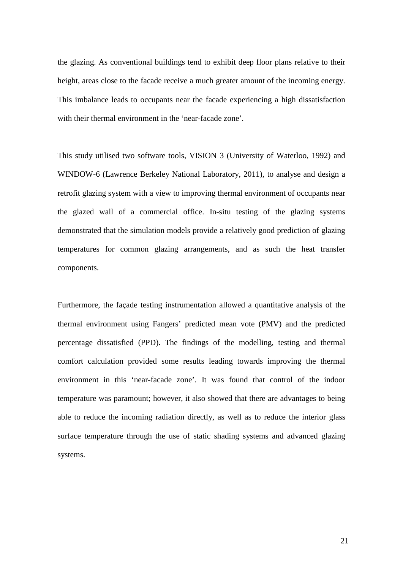the glazing. As conventional buildings tend to exhibit deep floor plans relative to their height, areas close to the facade receive a much greater amount of the incoming energy. This imbalance leads to occupants near the facade experiencing a high dissatisfaction with their thermal environment in the 'near-facade zone'.

This study utilised two software tools, VISION 3 (University of Waterloo, 1992) and WINDOW-6 (Lawrence Berkeley National Laboratory, 2011), to analyse and design a retrofit glazing system with a view to improving thermal environment of occupants near the glazed wall of a commercial office. In-situ testing of the glazing systems demonstrated that the simulation models provide a relatively good prediction of glazing temperatures for common glazing arrangements, and as such the heat transfer components.

Furthermore, the façade testing instrumentation allowed a quantitative analysis of the thermal environment using Fangers' predicted mean vote (PMV) and the predicted percentage dissatisfied (PPD). The findings of the modelling, testing and thermal comfort calculation provided some results leading towards improving the thermal environment in this 'near-facade zone'. It was found that control of the indoor temperature was paramount; however, it also showed that there are advantages to being able to reduce the incoming radiation directly, as well as to reduce the interior glass surface temperature through the use of static shading systems and advanced glazing systems.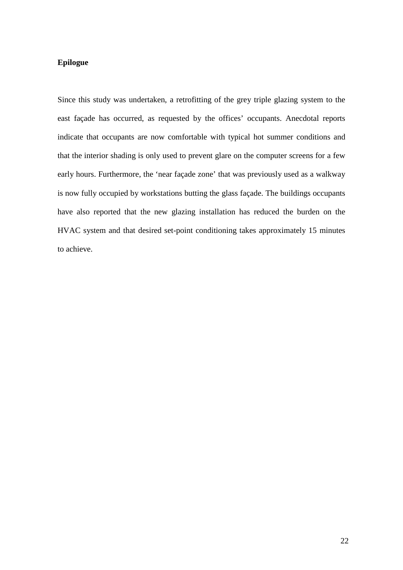# **Epilogue**

Since this study was undertaken, a retrofitting of the grey triple glazing system to the east façade has occurred, as requested by the offices' occupants. Anecdotal reports indicate that occupants are now comfortable with typical hot summer conditions and that the interior shading is only used to prevent glare on the computer screens for a few early hours. Furthermore, the 'near façade zone' that was previously used as a walkway is now fully occupied by workstations butting the glass façade. The buildings occupants have also reported that the new glazing installation has reduced the burden on the HVAC system and that desired set-point conditioning takes approximately 15 minutes to achieve.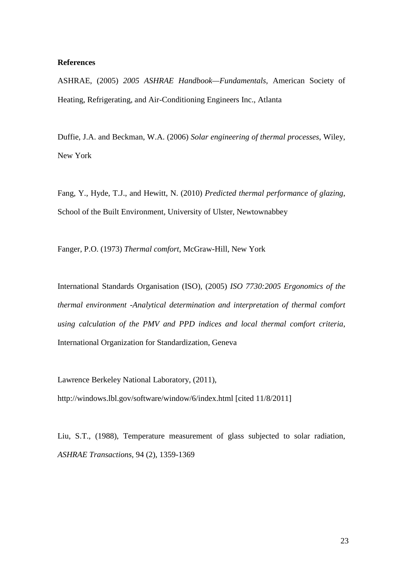### **References**

ASHRAE, (2005) *2005 ASHRAE Handbook—Fundamentals*, American Society of Heating, Refrigerating, and Air-Conditioning Engineers Inc., Atlanta

Duffie, J.A. and Beckman, W.A. (2006) *Solar engineering of thermal processes*, Wiley, New York

Fang, Y., Hyde, T.J., and Hewitt, N. (2010) *Predicted thermal performance of glazing*, School of the Built Environment, University of Ulster, Newtownabbey

Fanger, P.O. (1973) *Thermal comfort*, McGraw-Hill, New York

International Standards Organisation (ISO), (2005) *ISO 7730:2005 Ergonomics of the thermal environment -Analytical determination and interpretation of thermal comfort using calculation of the PMV and PPD indices and local thermal comfort criteria*, International Organization for Standardization, Geneva

Lawrence Berkeley National Laboratory, (2011),

http://windows.lbl.gov/software/window/6/index.html [cited 11/8/2011]

Liu, S.T., (1988), Temperature measurement of glass subjected to solar radiation, *ASHRAE Transactions*, 94 (2), 1359-1369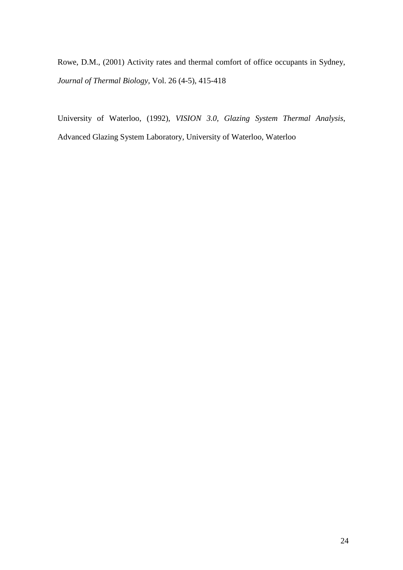Rowe, D.M., (2001) Activity rates and thermal comfort of office occupants in Sydney, *Journal of Thermal Biology*, Vol. 26 (4-5), 415-418

University of Waterloo, (1992), *VISION 3.0, Glazing System Thermal Analysis*, Advanced Glazing System Laboratory, University of Waterloo, Waterloo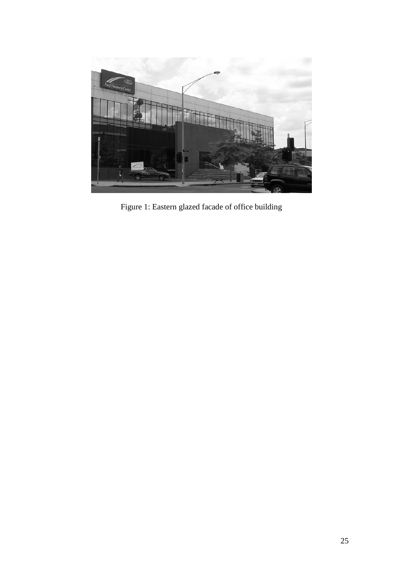

Figure 1: Eastern glazed facade of office building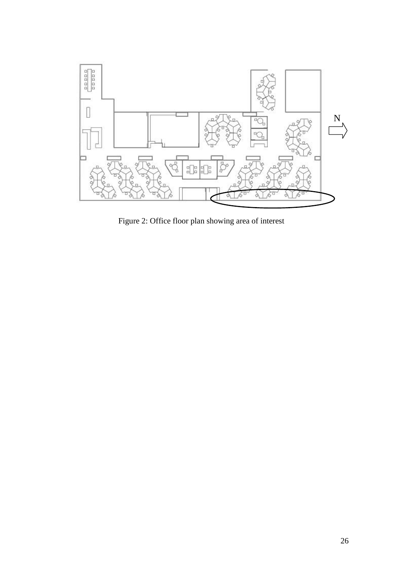

Figure 2: Office floor plan showing area of interest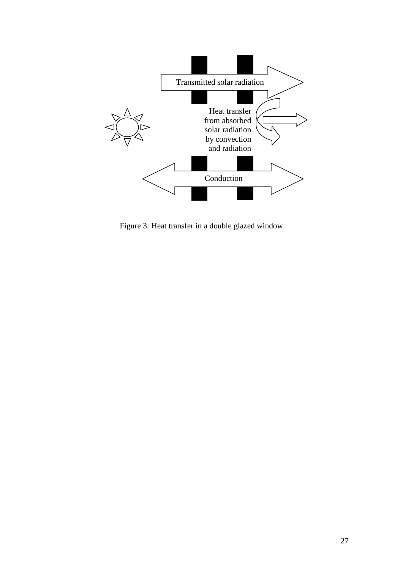

Figure 3: Heat transfer in a double glazed window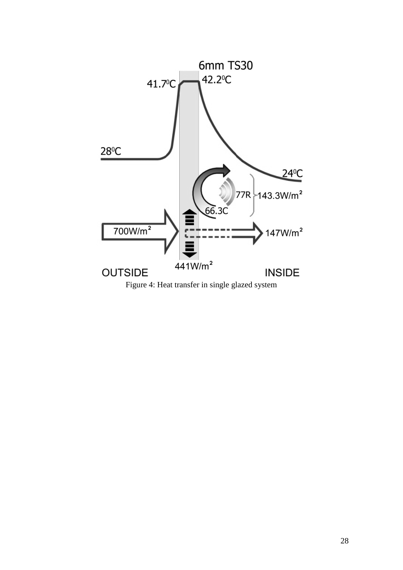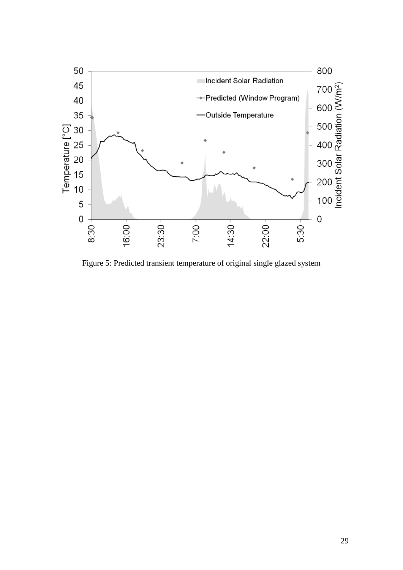

Figure 5: Predicted transient temperature of original single glazed system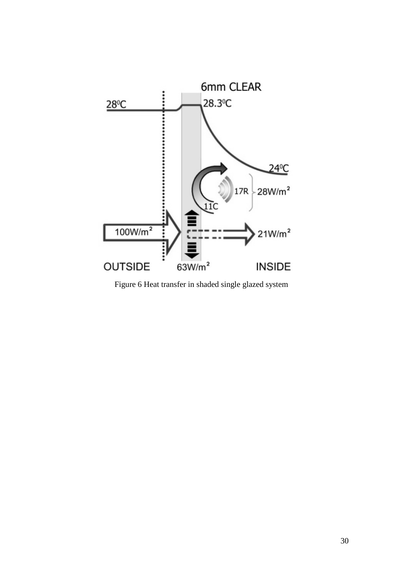

Figure 6 Heat transfer in shaded single glazed system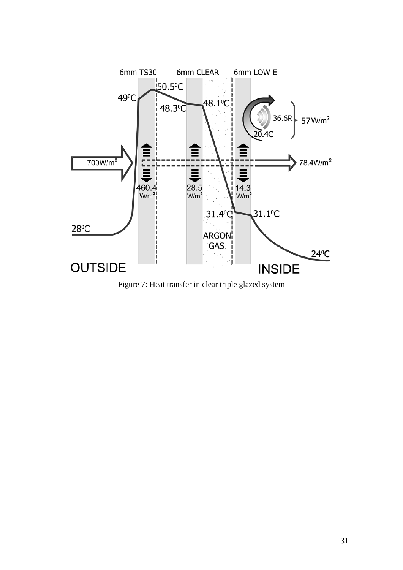

Figure 7: Heat transfer in clear triple glazed system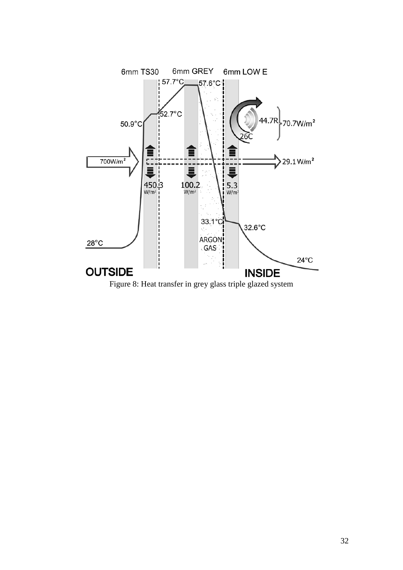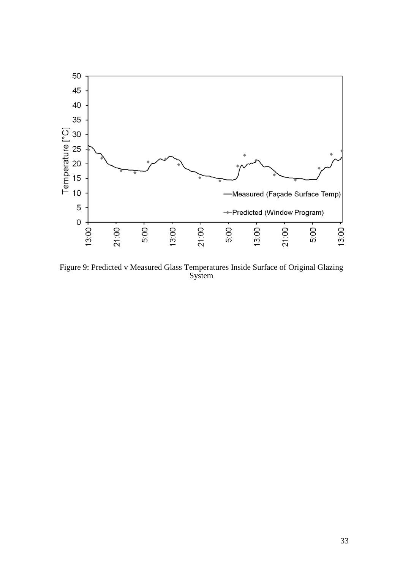

Figure 9: Predicted v Measured Glass Temperatures Inside Surface of Original Glazing System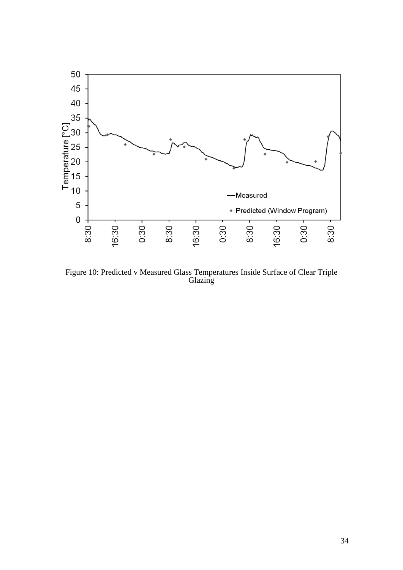

Figure 10: Predicted v Measured Glass Temperatures Inside Surface of Clear Triple Glazing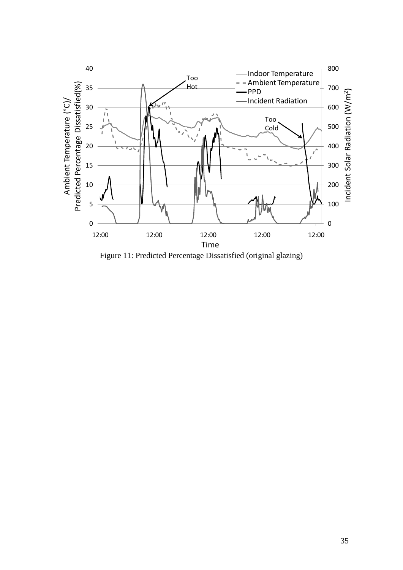

Figure 11: Predicted Percentage Dissatisfied (original glazing)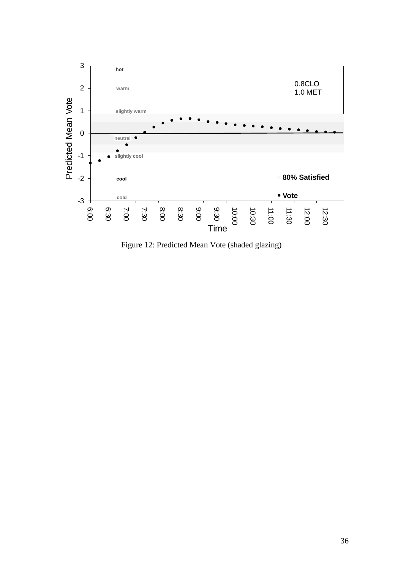

Figure 12: Predicted Mean Vote (shaded glazing)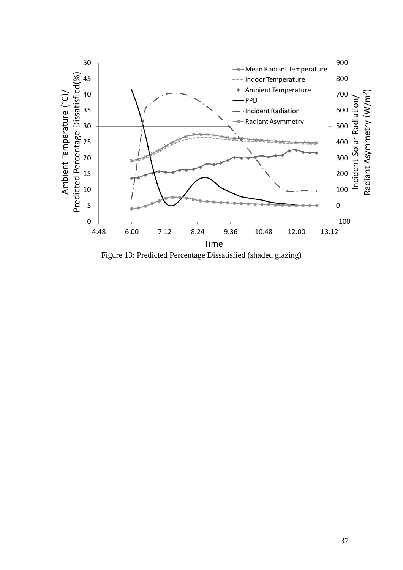

Figure 13: Predicted Percentage Dissatisfied (shaded glazing)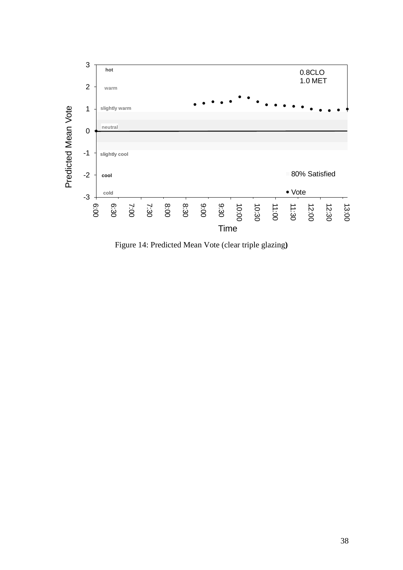

Figure 14: Predicted Mean Vote (clear triple glazing**)**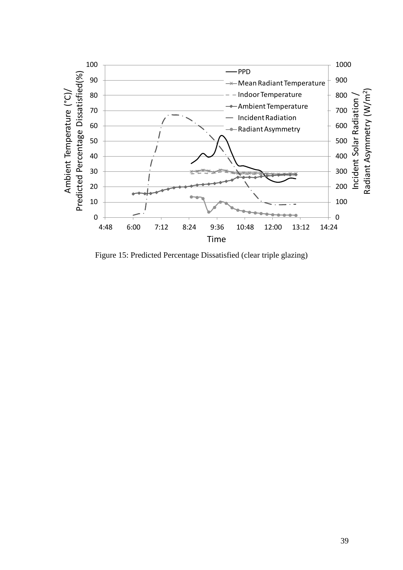

Figure 15: Predicted Percentage Dissatisfied (clear triple glazing)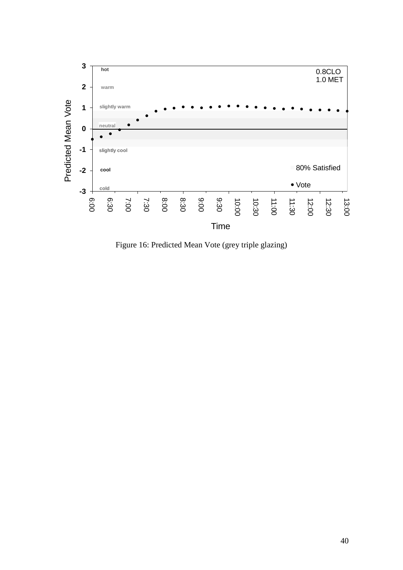

Figure 16: Predicted Mean Vote (grey triple glazing)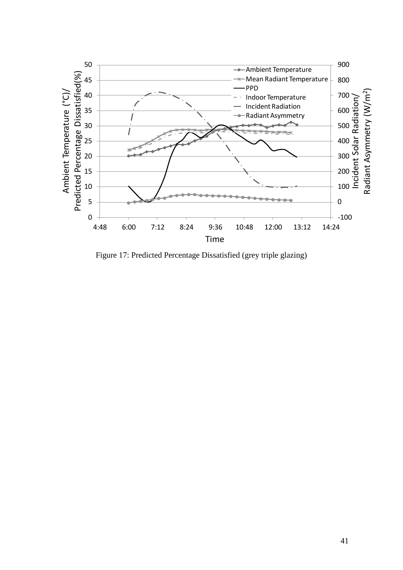

Figure 17: Predicted Percentage Dissatisfied (grey triple glazing)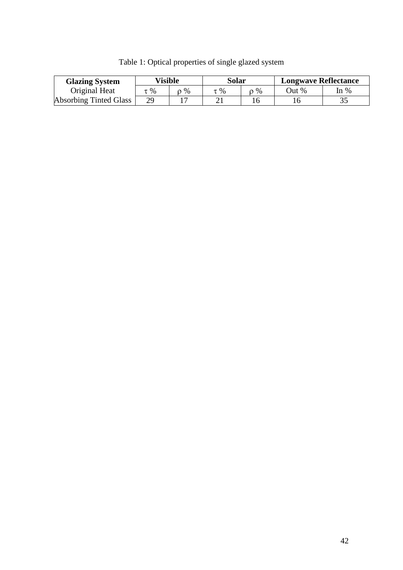| <b>Glazing System</b>         | <b>Visible</b> |      | Solar |    | <b>Longwave Reflectance</b> |        |
|-------------------------------|----------------|------|-------|----|-----------------------------|--------|
| Original Heat                 | $\tau$ %       | $\%$ | $\%$  | %  | Out %                       | In $%$ |
| <b>Absorbing Tinted Glass</b> | 29             |      |       | 16 |                             |        |

Table 1: Optical properties of single glazed system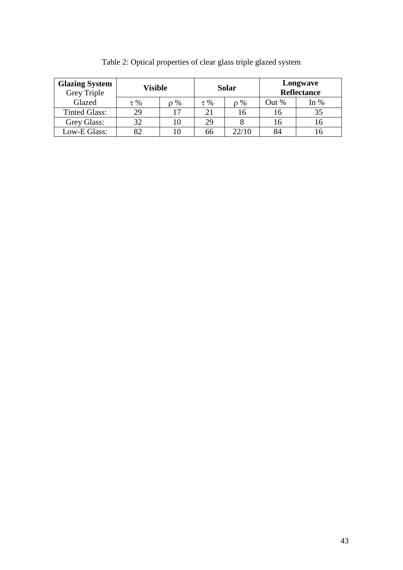| <b>Glazing System</b><br>Grey Triple | Visible  |          | <b>Solar</b> |          | Longwave<br><b>Reflectance</b> |        |
|--------------------------------------|----------|----------|--------------|----------|--------------------------------|--------|
| Glazed                               | $\tau$ % | $\rho\%$ | $\tau$ %     | $\rho\%$ | Out %                          | In $%$ |
| <b>Tinted Glass:</b>                 | 29       | 17       | 21           | 16       | I 6                            | 35     |
| Grey Glass:                          | 32       |          | 29           |          | 16                             |        |
| Low-E Glass:                         | 82       | l ()     | 66           | 22/10    | 84                             |        |

Table 2: Optical properties of clear glass triple glazed system